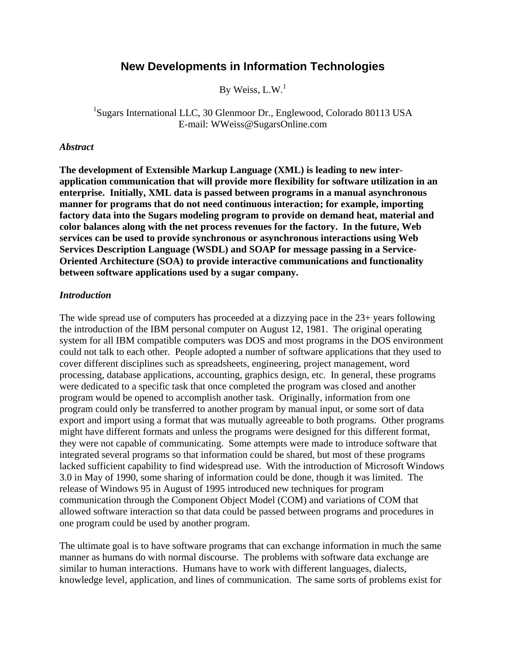# **New Developments in Information Technologies**

By Weiss,  $L.W.<sup>1</sup>$ 

<sup>1</sup>Sugars International LLC, 30 Glenmoor Dr., Englewood, Colorado 80113 USA E-mail: WWeiss@SugarsOnline.com

#### *Abstract*

**The development of Extensible Markup Language (XML) is leading to new interapplication communication that will provide more flexibility for software utilization in an enterprise. Initially, XML data is passed between programs in a manual asynchronous manner for programs that do not need continuous interaction; for example, importing factory data into the Sugars modeling program to provide on demand heat, material and color balances along with the net process revenues for the factory. In the future, Web services can be used to provide synchronous or asynchronous interactions using Web Services Description Language (WSDL) and SOAP for message passing in a Service-Oriented Architecture (SOA) to provide interactive communications and functionality between software applications used by a sugar company.** 

#### *Introduction*

The wide spread use of computers has proceeded at a dizzying pace in the 23+ years following the introduction of the IBM personal computer on August 12, 1981. The original operating system for all IBM compatible computers was DOS and most programs in the DOS environment could not talk to each other. People adopted a number of software applications that they used to cover different disciplines such as spreadsheets, engineering, project management, word processing, database applications, accounting, graphics design, etc. In general, these programs were dedicated to a specific task that once completed the program was closed and another program would be opened to accomplish another task. Originally, information from one program could only be transferred to another program by manual input, or some sort of data export and import using a format that was mutually agreeable to both programs. Other programs might have different formats and unless the programs were designed for this different format, they were not capable of communicating. Some attempts were made to introduce software that integrated several programs so that information could be shared, but most of these programs lacked sufficient capability to find widespread use. With the introduction of Microsoft Windows 3.0 in May of 1990, some sharing of information could be done, though it was limited. The release of Windows 95 in August of 1995 introduced new techniques for program communication through the Component Object Model (COM) and variations of COM that allowed software interaction so that data could be passed between programs and procedures in one program could be used by another program.

The ultimate goal is to have software programs that can exchange information in much the same manner as humans do with normal discourse. The problems with software data exchange are similar to human interactions. Humans have to work with different languages, dialects, knowledge level, application, and lines of communication. The same sorts of problems exist for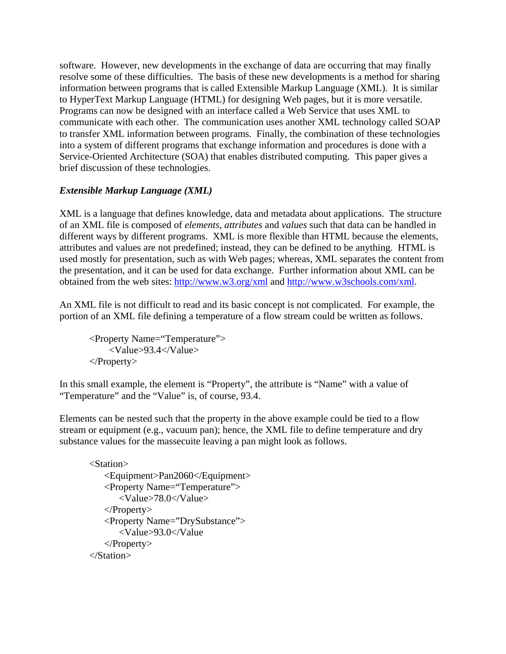software. However, new developments in the exchange of data are occurring that may finally resolve some of these difficulties. The basis of these new developments is a method for sharing information between programs that is called Extensible Markup Language (XML). It is similar to HyperText Markup Language (HTML) for designing Web pages, but it is more versatile. Programs can now be designed with an interface called a Web Service that uses XML to communicate with each other. The communication uses another XML technology called SOAP to transfer XML information between programs. Finally, the combination of these technologies into a system of different programs that exchange information and procedures is done with a Service-Oriented Architecture (SOA) that enables distributed computing. This paper gives a brief discussion of these technologies.

# *Extensible Markup Language (XML)*

XML is a language that defines knowledge, data and metadata about applications. The structure of an XML file is composed of *elements*, *attributes* and *values* such that data can be handled in different ways by different programs. XML is more flexible than HTML because the elements, attributes and values are not predefined; instead, they can be defined to be anything. HTML is used mostly for presentation, such as with Web pages; whereas, XML separates the content from the presentation, and it can be used for data exchange. Further information about XML can be obtained from the web sites:<http://www.w3.org/xml> and [http://www.w3schools.com/xml.](http://www.w3schools.com/xml)

An XML file is not difficult to read and its basic concept is not complicated. For example, the portion of an XML file defining a temperature of a flow stream could be written as follows.

 <Property Name="Temperature"> <Value>93.4</Value> </Property>

In this small example, the element is "Property", the attribute is "Name" with a value of "Temperature" and the "Value" is, of course, 93.4.

Elements can be nested such that the property in the above example could be tied to a flow stream or equipment (e.g., vacuum pan); hence, the XML file to define temperature and dry substance values for the massecuite leaving a pan might look as follows.

```
 <Station> 
   <Equipment>Pan2060</Equipment> 
   <Property Name="Temperature"> 
       <Value>78.0</Value> 
   </Property> 
   <Property Name="DrySubstance"> 
       <Value>93.0</Value 
   </Property> 
</Station>
```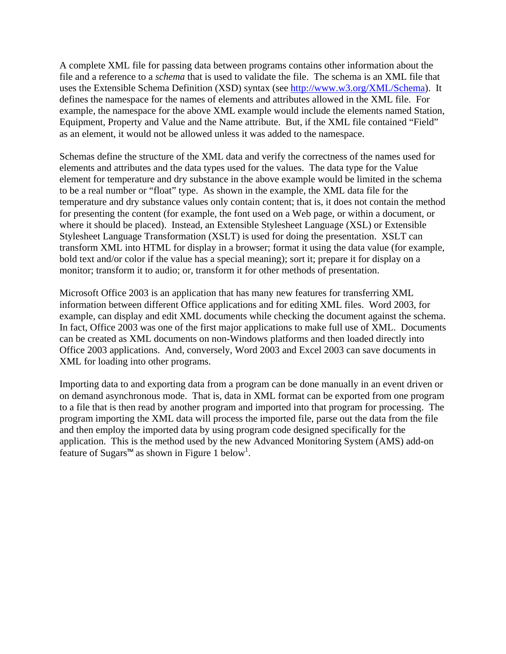A complete XML file for passing data between programs contains other information about the file and a reference to a *schema* that is used to validate the file. The schema is an XML file that uses the Extensible Schema Definition (XSD) syntax (see <http://www.w3.org/XML/Schema>). It defines the namespace for the names of elements and attributes allowed in the XML file. For example, the namespace for the above XML example would include the elements named Station, Equipment, Property and Value and the Name attribute. But, if the XML file contained "Field" as an element, it would not be allowed unless it was added to the namespace.

Schemas define the structure of the XML data and verify the correctness of the names used for elements and attributes and the data types used for the values. The data type for the Value element for temperature and dry substance in the above example would be limited in the schema to be a real number or "float" type. As shown in the example, the XML data file for the temperature and dry substance values only contain content; that is, it does not contain the method for presenting the content (for example, the font used on a Web page, or within a document, or where it should be placed). Instead, an Extensible Stylesheet Language (XSL) or Extensible Stylesheet Language Transformation (XSLT) is used for doing the presentation. XSLT can transform XML into HTML for display in a browser; format it using the data value (for example, bold text and/or color if the value has a special meaning); sort it; prepare it for display on a monitor; transform it to audio; or, transform it for other methods of presentation.

Microsoft Office 2003 is an application that has many new features for transferring XML information between different Office applications and for editing XML files. Word 2003, for example, can display and edit XML documents while checking the document against the schema. In fact, Office 2003 was one of the first major applications to make full use of XML. Documents can be created as XML documents on non-Windows platforms and then loaded directly into Office 2003 applications. And, conversely, Word 2003 and Excel 2003 can save documents in XML for loading into other programs.

Importing data to and exporting data from a program can be done manually in an event driven or on demand asynchronous mode. That is, data in XML format can be exported from one program to a file that is then read by another program and imported into that program for processing. The program importing the XML data will process the imported file, parse out the data from the file and then employ the imported data by using program code designed specifically for the application. This is the method used by the new Advanced Monitoring System (AMS) add-on feature of Sugars™ as shown in Figure 1 below<sup>1</sup>.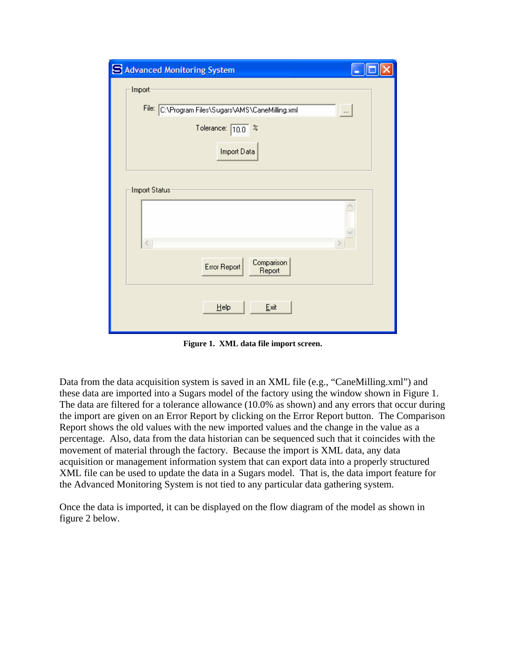| Advanced Monitoring System                                    |  |
|---------------------------------------------------------------|--|
| Import                                                        |  |
| File: C:\Program Files\Sugars\AMS\CaneMilling.xml<br>$\cdots$ |  |
| Tolerance: $\boxed{10.0}$ %                                   |  |
| Import Data                                                   |  |
| Import Status:                                                |  |
|                                                               |  |
| $\langle$                                                     |  |
| Comparison<br>Error Report<br>Report                          |  |
| Help<br>Exit                                                  |  |

**Figure 1. XML data file import screen.** 

Data from the data acquisition system is saved in an XML file (e.g., "CaneMilling.xml") and these data are imported into a Sugars model of the factory using the window shown in Figure 1. The data are filtered for a tolerance allowance (10.0% as shown) and any errors that occur during the import are given on an Error Report by clicking on the Error Report button. The Comparison Report shows the old values with the new imported values and the change in the value as a percentage. Also, data from the data historian can be sequenced such that it coincides with the movement of material through the factory. Because the import is XML data, any data acquisition or management information system that can export data into a properly structured XML file can be used to update the data in a Sugars model. That is, the data import feature for the Advanced Monitoring System is not tied to any particular data gathering system.

Once the data is imported, it can be displayed on the flow diagram of the model as shown in figure 2 below.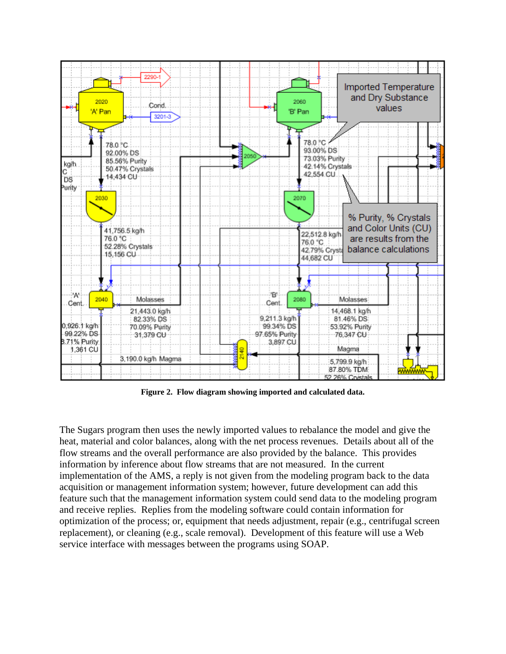

**Figure 2. Flow diagram showing imported and calculated data.** 

The Sugars program then uses the newly imported values to rebalance the model and give the heat, material and color balances, along with the net process revenues. Details about all of the flow streams and the overall performance are also provided by the balance. This provides information by inference about flow streams that are not measured. In the current implementation of the AMS, a reply is not given from the modeling program back to the data acquisition or management information system; however, future development can add this feature such that the management information system could send data to the modeling program and receive replies. Replies from the modeling software could contain information for optimization of the process; or, equipment that needs adjustment, repair (e.g., centrifugal screen replacement), or cleaning (e.g., scale removal). Development of this feature will use a Web service interface with messages between the programs using SOAP.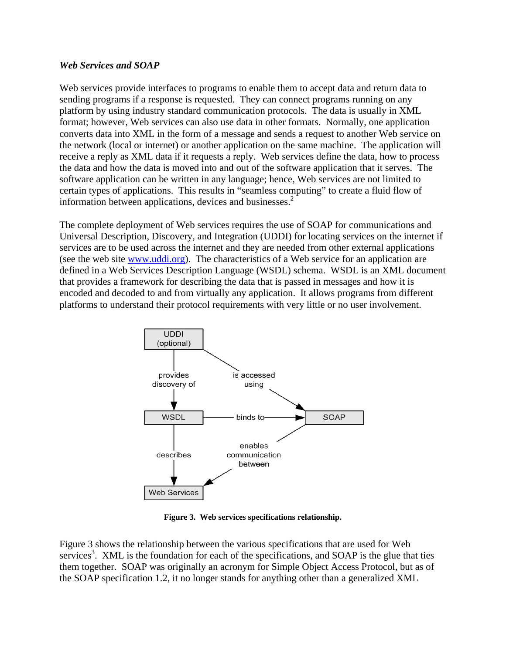### *Web Services and SOAP*

Web services provide interfaces to programs to enable them to accept data and return data to sending programs if a response is requested. They can connect programs running on any platform by using industry standard communication protocols. The data is usually in XML format; however, Web services can also use data in other formats. Normally, one application converts data into XML in the form of a message and sends a request to another Web service on the network (local or internet) or another application on the same machine. The application will receive a reply as XML data if it requests a reply. Web services define the data, how to process the data and how the data is moved into and out of the software application that it serves. The software application can be written in any language; hence, Web services are not limited to certain types of applications. This results in "seamless computing" to create a fluid flow of information between applications, devices and businesses.<sup>2</sup>

The complete deployment of Web services requires the use of SOAP for communications and Universal Description, Discovery, and Integration (UDDI) for locating services on the internet if services are to be used across the internet and they are needed from other external applications (see the web site [www.uddi.org\)](http://www.uddi.org/). The characteristics of a Web service for an application are defined in a Web Services Description Language (WSDL) schema. WSDL is an XML document that provides a framework for describing the data that is passed in messages and how it is encoded and decoded to and from virtually any application. It allows programs from different platforms to understand their protocol requirements with very little or no user involvement.



**Figure 3. Web services specifications relationship.** 

Figure 3 shows the relationship between the various specifications that are used for Web services<sup>3</sup>. XML is the foundation for each of the specifications, and SOAP is the glue that ties them together. SOAP was originally an acronym for Simple Object Access Protocol, but as of the SOAP specification 1.2, it no longer stands for anything other than a generalized XML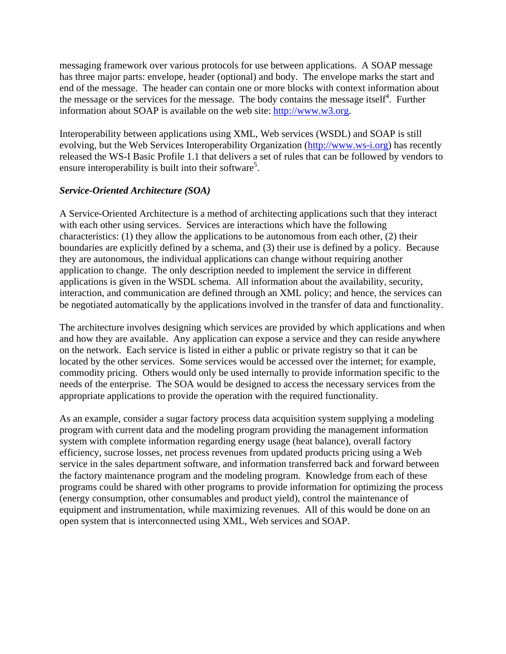messaging framework over various protocols for use between applications. A SOAP message has three major parts: envelope, header (optional) and body. The envelope marks the start and end of the message. The header can contain one or more blocks with context information about the message or the services for the message. The body contains the message itself $4$ . Further information about SOAP is available on the web site: [http://www.w3.org](http://www.w3.org/).

Interoperability between applications using XML, Web services (WSDL) and SOAP is still evolving, but the Web Services Interoperability Organization ([http://www.ws-i.org\)](http://www.ws-i.org/) has recently released the WS-I Basic Profile 1.1 that delivers a set of rules that can be followed by vendors to ensure interoperability is built into their software<sup>5</sup>.

### *Service-Oriented Architecture (SOA)*

A Service-Oriented Architecture is a method of architecting applications such that they interact with each other using services. Services are interactions which have the following characteristics: (1) they allow the applications to be autonomous from each other, (2) their boundaries are explicitly defined by a schema, and (3) their use is defined by a policy. Because they are autonomous, the individual applications can change without requiring another application to change. The only description needed to implement the service in different applications is given in the WSDL schema. All information about the availability, security, interaction, and communication are defined through an XML policy; and hence, the services can be negotiated automatically by the applications involved in the transfer of data and functionality.

The architecture involves designing which services are provided by which applications and when and how they are available. Any application can expose a service and they can reside anywhere on the network. Each service is listed in either a public or private registry so that it can be located by the other services. Some services would be accessed over the internet; for example, commodity pricing. Others would only be used internally to provide information specific to the needs of the enterprise. The SOA would be designed to access the necessary services from the appropriate applications to provide the operation with the required functionality.

As an example, consider a sugar factory process data acquisition system supplying a modeling program with current data and the modeling program providing the management information system with complete information regarding energy usage (heat balance), overall factory efficiency, sucrose losses, net process revenues from updated products pricing using a Web service in the sales department software, and information transferred back and forward between the factory maintenance program and the modeling program. Knowledge from each of these programs could be shared with other programs to provide information for optimizing the process (energy consumption, other consumables and product yield), control the maintenance of equipment and instrumentation, while maximizing revenues. All of this would be done on an open system that is interconnected using XML, Web services and SOAP.